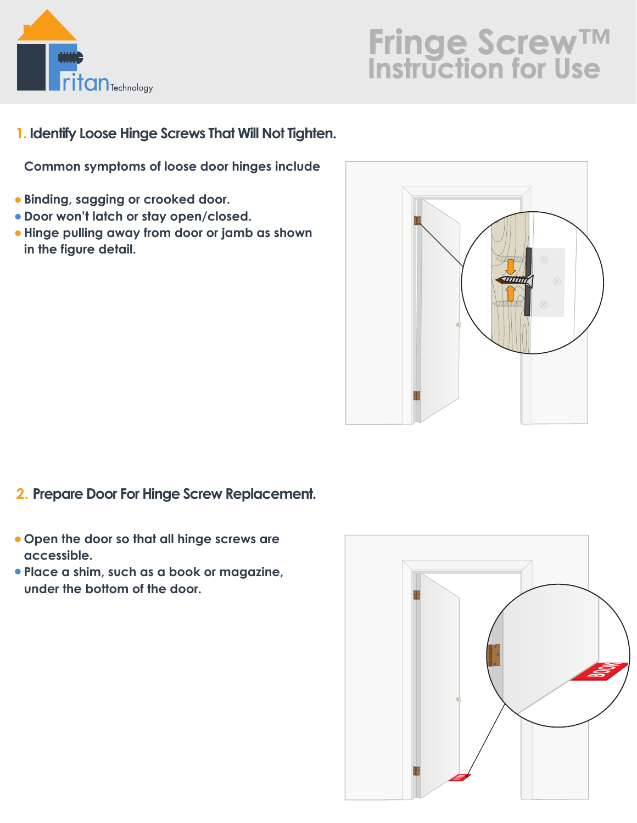

**1. Identify Loose Hinge Screws That Will Not Tighten.**

**Common symptoms of loose door hinges include**

- **Binding, sagging or crooked door.**
- **Door won't latch or stay open/closed.**
- **Hinge pulling away from door or jamb as shown in the figure detail.**



- **2. Prepare Door For Hinge Screw Replacement.**
- **Open the door so that all hinge screws are accessible.**
- **Place a shim, such as a book or magazine, under the bottom of the door.**

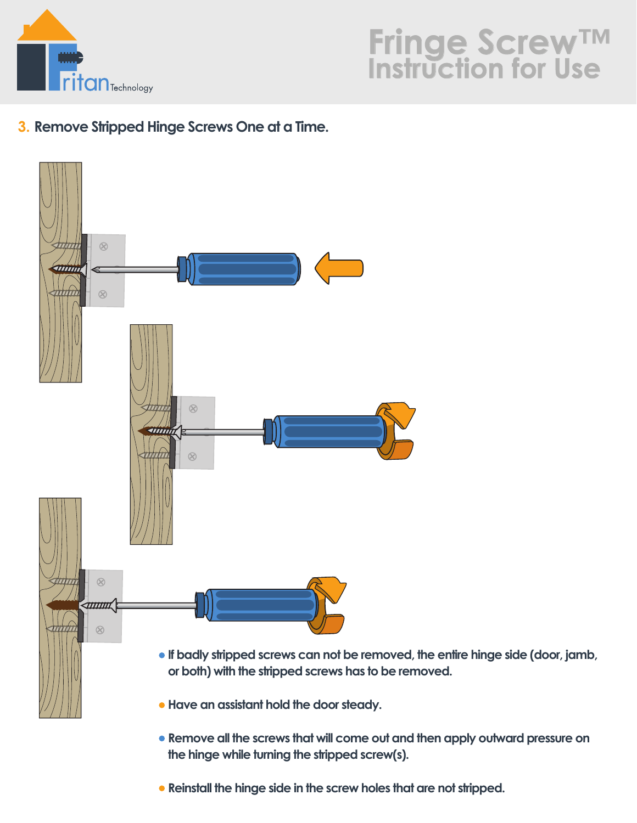

#### **3. Remove Stripped Hinge Screws One at a Time.**



**Reinstall the hinge side in the screw holes that are not stripped.**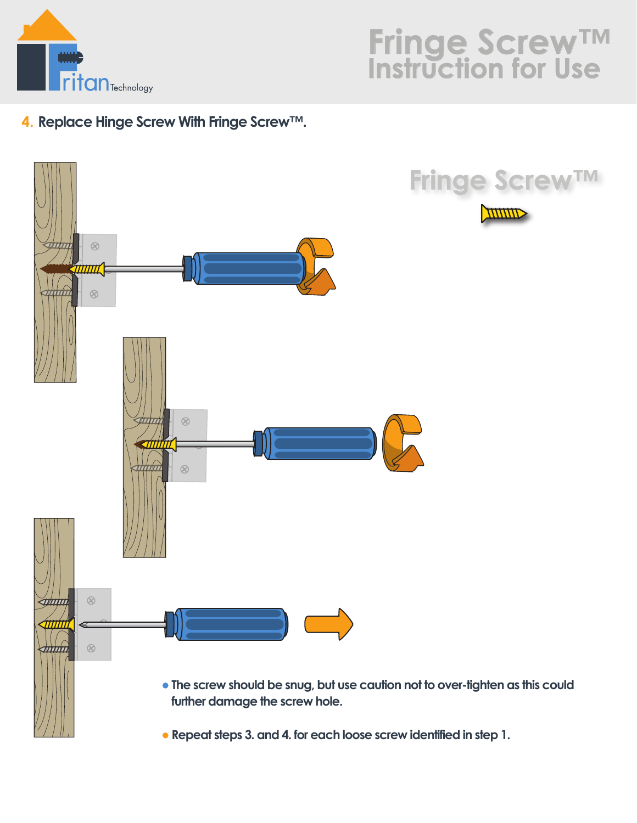

#### **4. Replace Hinge Screw With Fringe Screw™.**



**Repeat steps 3. and 4. for each loose screw identified in step 1.**